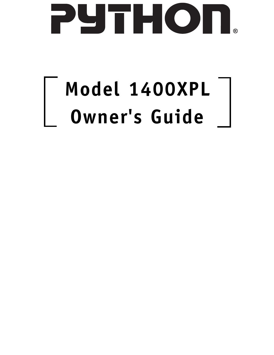

# **Model 1400XPL Owner's Guide**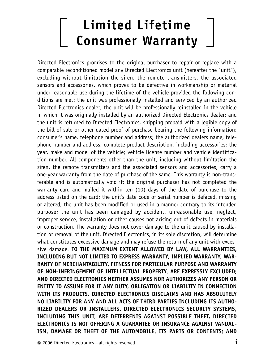# **Limited Lifetime Consumer Warranty**

Directed Electronics promises to the original purchaser to repair or replace with a comparable reconditioned model any Directed Electronics unit (hereafter the "unit"), excluding without limitation the siren, the remote transmitters, the associated sensors and accessories, which proves to be defective in workmanship or material under reasonable use during the lifetime of the vehicle provided the following conditions are met: the unit was professionally installed and serviced by an authorized Directed Electronics dealer; the unit will be professionally reinstalled in the vehicle in which it was originally installed by an authorized Directed Electronics dealer; and the unit is returned to Directed Electronics, shipping prepaid with a legible copy of the bill of sale or other dated proof of purchase bearing the following information: consumer's name, telephone number and address; the authorized dealers name, telephone number and address; complete product description, including accessories; the year, make and model of the vehicle; vehicle license number and vehicle identification number. All components other than the unit, including without limitation the siren, the remote transmitters and the associated sensors and accessories, carry a one-year warranty from the date of purchase of the same. This warranty is non-transferable and is automatically void if: the original purchaser has not completed the warranty card and mailed it within ten (10) days of the date of purchase to the address listed on the card; the unit's date code or serial number is defaced, missing or altered; the unit has been modified or used in a manner contrary to its intended purpose; the unit has been damaged by accident, unreasonable use, neglect, improper service, installation or other causes not arising out of defects in materials or construction. The warranty does not cover damage to the unit caused by installation or removal of the unit. Directed Electronics, in its sole discretion, will determine what constitutes excessive damage and may refuse the return of any unit with excessive damage. **TO THE MAXIMUM EXTENT ALLOWED BY LAW, ALL WARRANTIES, INCLUDING BUT NOT LIMITED TO EXPRESS WARRANTY, IMPLIED WARRANTY, WAR-RANTY OF MERCHANTABILITY, FITNESS FOR PARTICULAR PURPOSE AND WARRANTY OF NON-INFRINGEMENT OF INTELLECTUAL PROPERTY, ARE EXPRESSLY EXCLUDED; AND DIRECTED ELECTRONICS NEITHER ASSUMES NOR AUTHORIZES ANY PERSON OR ENTITY TO ASSUME FOR IT ANY DUTY, OBLIGATION OR LIABILITY IN CONNECTION WITH ITS PRODUCTS. DIRECTED ELECTRONICS DISCLAIMS AND HAS ABSOLUTELY NO LIABILITY FOR ANY AND ALL ACTS OF THIRD PARTIES INCLUDING ITS AUTHO-RIZED DEALERS OR INSTALLERS. DIRECTED ELECTRONICS SECURITY SYSTEMS, INCLUDING THIS UNIT, ARE DETERRENTS AGAINST POSSIBLE THEFT. DIRECTED ELECTRONICS IS NOT OFFERING A GUARANTEE OR INSURANCE AGAINST VANDAL-ISM, DAMAGE OR THEFT OF THE AUTOMOBILE, ITS PARTS OR CONTENTS; AND**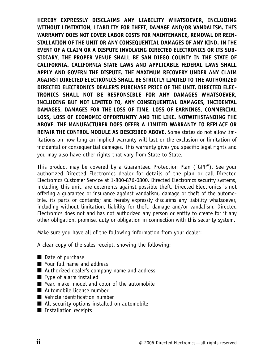**HEREBY EXPRESSLY DISCLAIMS ANY LIABILITY WHATSOEVER, INCLUDING WITHOUT LIMITATION, LIABILITY FOR THEFT, DAMAGE AND/OR VANDALISM. THIS WARRANTY DOES NOT COVER LABOR COSTS FOR MAINTENANCE, REMOVAL OR REIN-STALLATION OF THE UNIT OR ANY CONSEQUENTIAL DAMAGES OF ANY KIND. IN THE EVENT OF A CLAIM OR A DISPUTE INVOLVING DIRECTED ELECTRONICS OR ITS SUB-SIDIARY, THE PROPER VENUE SHALL BE SAN DIEGO COUNTY IN THE STATE OF CALIFORNIA. CALIFORNIA STATE LAWS AND APPLICABLE FEDERAL LAWS SHALL APPLY AND GOVERN THE DISPUTE. THE MAXIMUM RECOVERY UNDER ANY CLAIM AGAINST DIRECTED ELECTRONICS SHALL BE STRICTLY LIMITED TO THE AUTHORIZED DIRECTED ELECTRONICS DEALER'S PURCHASE PRICE OF THE UNIT. DIRECTED ELEC-TRONICS SHALL NOT BE RESPONSIBLE FOR ANY DAMAGES WHATSOEVER, INCLUDING BUT NOT LIMITED TO, ANY CONSEQUENTIAL DAMAGES, INCIDENTAL DAMAGES, DAMAGES FOR THE LOSS OF TIME, LOSS OF EARNINGS, COMMERCIAL LOSS, LOSS OF ECONOMIC OPPORTUNITY AND THE LIKE. NOTWITHSTANDING THE ABOVE, THE MANUFACTURER DOES OFFER A LIMITED WARRANTY TO REPLACE OR REPAIR THE CONTROL MODULE AS DESCRIBED ABOVE.** Some states do not allow limitations on how long an implied warranty will last or the exclusion or limitation of incidental or consequential damages. This warranty gives you specific legal rights and you may also have other rights that vary from State to State.

This product may be covered by a Guaranteed Protection Plan ("GPP"). See your authorized Directed Electronics dealer for details of the plan or call Directed Electronics Customer Service at 1-800-876-0800. Directed Electronics security systems, including this unit, are deterrents against possible theft. Directed Electronics is not offering a guarantee or insurance against vandalism, damage or theft of the automobile, its parts or contents; and hereby expressly disclaims any liability whatsoever, including without limitation, liability for theft, damage and/or vandalism. Directed Electronics does not and has not authorized any person or entity to create for it any other obligation, promise, duty or obligation in connection with this security system.

Make sure you have all of the following information from your dealer:

A clear copy of the sales receipt, showing the following:

- Date of purchase
- Your full name and address
- Authorized dealer's company name and address
- Type of alarm installed
- Year, make, model and color of the automobile
- Automobile license number
- Vehicle identification number
- All security options installed on automobile
- Installation receipts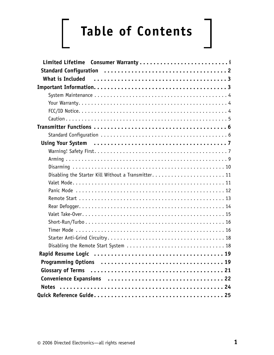# **Table of Contents**

| Limited Lifetime Consumer Warranty |
|------------------------------------|
|                                    |
|                                    |
|                                    |
|                                    |
|                                    |
|                                    |
|                                    |
|                                    |
|                                    |
|                                    |
|                                    |
|                                    |
|                                    |
|                                    |
|                                    |
|                                    |
|                                    |
|                                    |
|                                    |
|                                    |
|                                    |
|                                    |
|                                    |
|                                    |
|                                    |
|                                    |
|                                    |
|                                    |
|                                    |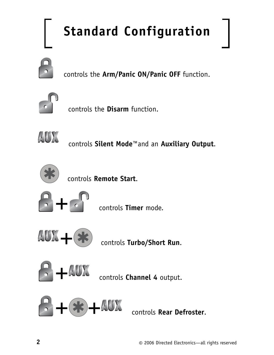# **Standard Configuration**



controls the **Arm/Panic ON/Panic OFF** function.



controls the **Disarm** function.



controls **Silent Mode™**and an **Auxiliary Output**.



controls **Remote Start**.



+ controls **Timer** mode.



+ controls **Turbo/Short Run**.



+ controls **Channel 4** output.

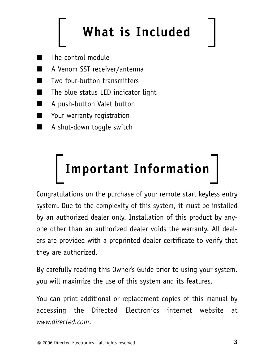# **What is Included**

- The control module
- A Venom SST receiver/antenna
- Two four-button transmitters
- The blue status LED indicator light
- A push-button Valet button
- Your warranty registration
- A shut-down toggle switch

# **Important Information**

Congratulations on the purchase of your remote start keyless entry system. Due to the complexity of this system, it must be installed by an authorized dealer only. Installation of this product by anyone other than an authorized dealer voids the warranty. All dealers are provided with a preprinted dealer certificate to verify that they are authorized.

By carefully reading this Owner's Guide prior to using your system, you will maximize the use of this system and its features.

You can print additional or replacement copies of this manual by accessing the Directed Electronics internet website at *www.directed.com*.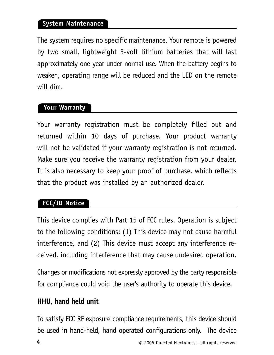### **System Maintenance**

The system requires no specific maintenance. Your remote is powered by two small, lightweight 3-volt lithium batteries that will last approximately one year under normal use. When the battery begins to weaken, operating range will be reduced and the LED on the remote will dim.

### **Your Warranty**

Your warranty registration must be completely filled out and returned within 10 days of purchase. Your product warranty will not be validated if your warranty registration is not returned. Make sure you receive the warranty registration from your dealer. It is also necessary to keep your proof of purchase, which reflects that the product was installed by an authorized dealer.

### **FCC/ID Notice**

This device complies with Part 15 of FCC rules. Operation is subject to the following conditions: (1) This device may not cause harmful interference, and (2) This device must accept any interference received, including interference that may cause undesired operation.

Changes or modifications not expressly approved by the party responsible for compliance could void the user's authority to operate this device.

### **HHU, hand held unit**

To satisfy FCC RF exposure compliance requirements, this device should be used in hand-held, hand operated configurations only. The device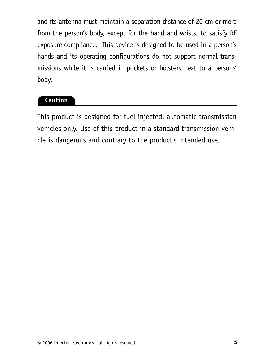and its antenna must maintain a separation distance of 20 cm or more from the person's body, except for the hand and wrists, to satisfy RF exposure compliance. This device is designed to be used in a person's hands and its operating configurations do not support normal transmissions while it is carried in pockets or holsters next to a persons' body.

### **Caution**

This product is designed for fuel injected, automatic transmission vehicles only. Use of this product in a standard transmission vehicle is dangerous and contrary to the product's intended use.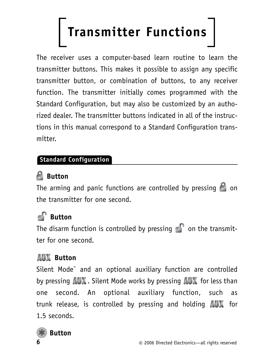# **Transmitter Functions**

The receiver uses a computer-based learn routine to learn the transmitter buttons. This makes it possible to assign any specific transmitter button, or combination of buttons, to any receiver function. The transmitter initially comes programmed with the Standard Configuration, but may also be customized by an authorized dealer. The transmitter buttons indicated in all of the instructions in this manual correspond to a Standard Configuration transmitter.

### **Standard Configuration**

### **Button**

The arming and panic functions are controlled by pressing  $\blacksquare$  on the transmitter for one second.

### **Button**

The disarm function is controlled by pressing  $\bullet$  on the transmitter for one second.

### **AUX** Button

Silent Mode™ and an optional auxiliary function are controlled by pressing  $\mathbf{A}\mathbf{U}\mathbf{X}$ . Silent Mode works by pressing  $\mathbf{A}\mathbf{U}\mathbf{X}$  for less than one second. An optional auxiliary function, such as trunk release, is controlled by pressing and holding  $A\cup A$  for 1.5 seconds.

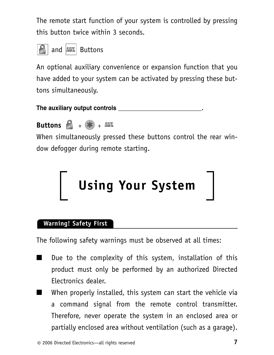The remote start function of your system is controlled by pressing this button twice within 3 seconds.



An optional auxiliary convenience or expansion function that you have added to your system can be activated by pressing these buttons simultaneously.

**The auxiliary output controls \_\_\_\_\_\_\_\_\_\_\_\_\_\_\_\_\_\_\_\_\_\_\_\_\_\_.**



When simultaneously pressed these buttons control the rear window defogger during remote starting.



### **Warning! Safety First**

The following safety warnings must be observed at all times:

- Due to the complexity of this system, installation of this product must only be performed by an authorized Directed Electronics dealer.
- When properly installed, this system can start the vehicle via a command signal from the remote control transmitter. Therefore, never operate the system in an enclosed area or partially enclosed area without ventilation (such as a garage).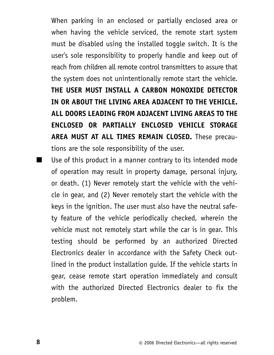When parking in an enclosed or partially enclosed area or when having the vehicle serviced, the remote start system must be disabled using the installed toggle switch. It is the user's sole responsibility to properly handle and keep out of reach from children all remote control transmitters to assure that the system does not unintentionally remote start the vehicle. **THE USER MUST INSTALL A CARBON MONOXIDE DETECTOR IN OR ABOUT THE LIVING AREA ADJACENT TO THE VEHICLE. ALL DOORS LEADING FROM ADJACENT LIVING AREAS TO THE ENCLOSED OR PARTIALLY ENCLOSED VEHICLE STORAGE AREA MUST AT ALL TIMES REMAIN CLOSED.** These precautions are the sole responsibility of the user.

■ Use of this product in a manner contrary to its intended mode of operation may result in property damage, personal injury, or death. (1) Never remotely start the vehicle with the vehicle in gear, and (2) Never remotely start the vehicle with the keys in the ignition. The user must also have the neutral safety feature of the vehicle periodically checked, wherein the vehicle must not remotely start while the car is in gear. This testing should be performed by an authorized Directed Electronics dealer in accordance with the Safety Check outlined in the product installation guide. If the vehicle starts in gear, cease remote start operation immediately and consult with the authorized Directed Electronics dealer to fix the problem.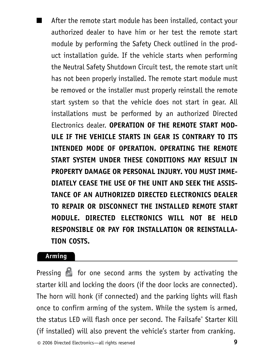After the remote start module has been installed, contact your authorized dealer to have him or her test the remote start module by performing the Safety Check outlined in the product installation guide. If the vehicle starts when performing the Neutral Safety Shutdown Circuit test, the remote start unit has not been properly installed. The remote start module must be removed or the installer must properly reinstall the remote start system so that the vehicle does not start in gear. All installations must be performed by an authorized Directed Electronics dealer. **OPERATION OF THE REMOTE START MOD-ULE IF THE VEHICLE STARTS IN GEAR IS CONTRARY TO ITS INTENDED MODE OF OPERATION. OPERATING THE REMOTE START SYSTEM UNDER THESE CONDITIONS MAY RESULT IN PROPERTY DAMAGE OR PERSONAL INJURY. YOU MUST IMME-DIATELY CEASE THE USE OF THE UNIT AND SEEK THE ASSIS-TANCE OF AN AUTHORIZED DIRECTED ELECTRONICS DEALER TO REPAIR OR DISCONNECT THE INSTALLED REMOTE START MODULE. DIRECTED ELECTRONICS WILL NOT BE HELD RESPONSIBLE OR PAY FOR INSTALLATION OR REINSTALLA-TION COSTS.**

### **Arming**

Pressing  $\mathbb{R}$  for one second arms the system by activating the starter kill and locking the doors (if the door locks are connected). The horn will honk (if connected) and the parking lights will flash once to confirm arming of the system. While the system is armed, the status LED will flash once per second. The Failsafe® Starter Kill (if installed) will also prevent the vehicle's starter from cranking.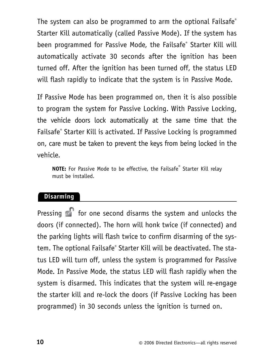The system can also be programmed to arm the optional Failsafe<sup>®</sup> Starter Kill automatically (called Passive Mode). If the system has been programmed for Passive Mode, the Failsafe® Starter Kill will automatically activate 30 seconds after the ignition has been turned off. After the ignition has been turned off, the status LED will flash rapidly to indicate that the system is in Passive Mode.

If Passive Mode has been programmed on, then it is also possible to program the system for Passive Locking. With Passive Locking, the vehicle doors lock automatically at the same time that the Failsafe® Starter Kill is activated. If Passive Locking is programmed on, care must be taken to prevent the keys from being locked in the vehicle.

**NOTE:** For Passive Mode to be effective, the Failsafe® Starter Kill relay must be installed.

### **Disarming**

Pressing  $\epsilon$  for one second disarms the system and unlocks the doors (if connected). The horn will honk twice (if connected) and the parking lights will flash twice to confirm disarming of the system. The optional Failsafe® Starter Kill will be deactivated. The status LED will turn off, unless the system is programmed for Passive Mode. In Passive Mode, the status LED will flash rapidly when the system is disarmed. This indicates that the system will re-engage the starter kill and re-lock the doors (if Passive Locking has been programmed) in 30 seconds unless the ignition is turned on.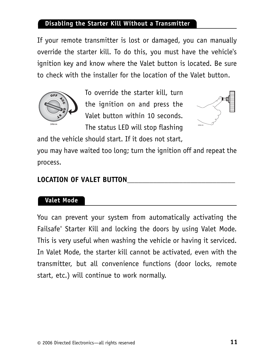### **Disabling the Starter Kill Without a Transmitter**

If your remote transmitter is lost or damaged, you can manually override the starter kill. To do this, you must have the vehicle's ignition key and know where the Valet button is located. Be sure to check with the installer for the location of the Valet button.



To override the starter kill, turn the ignition on and press the Valet button within 10 seconds. The status LED will stop flashing



and the vehicle should start. If it does not start,

you may have waited too long; turn the ignition off and repeat the process.

### LOCATION OF VALET BUTTON

### **Valet Mode**

You can prevent your system from automatically activating the Failsafe® Starter Kill and locking the doors by using Valet Mode. This is very useful when washing the vehicle or having it serviced. In Valet Mode, the starter kill cannot be activated, even with the transmitter, but all convenience functions (door locks, remote start, etc.) will continue to work normally.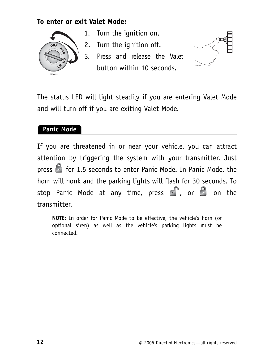### **To enter or exit Valet Mode:**



- 1. Turn the ignition on.
- 2. Turn the ignition off.
- 3. Press and release the Valet button within 10 seconds.



The status LED will light steadily if you are entering Valet Mode and will turn off if you are exiting Valet Mode.

### **Panic Mode**

If you are threatened in or near your vehicle, you can attract attention by triggering the system with your transmitter. Just press **of** for 1.5 seconds to enter Panic Mode. In Panic Mode, the horn will honk and the parking lights will flash for 30 seconds. To stop Panic Mode at any time, press  $\mathbb{S}$ , or  $\mathbb{S}$  on the transmitter.

**NOTE:** In order for Panic Mode to be effective, the vehicle's horn (or optional siren) as well as the vehicle's parking lights must be connected.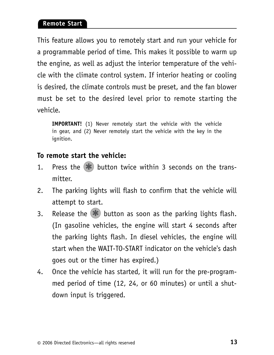### **Remote Start**

This feature allows you to remotely start and run your vehicle for a programmable period of time. This makes it possible to warm up the engine, as well as adjust the interior temperature of the vehicle with the climate control system. If interior heating or cooling is desired, the climate controls must be preset, and the fan blower must be set to the desired level prior to remote starting the vehicle.

**IMPORTANT!** (1) Never remotely start the vehicle with the vehicle in gear, and (2) Never remotely start the vehicle with the key in the ianition.

### **To remote start the vehicle:**

- 1. Press the  $\blacktriangleright$  button twice within 3 seconds on the transmitter.
- 2. The parking lights will flash to confirm that the vehicle will attempt to start.
- 3. Release the  $\blacktriangleright$  button as soon as the parking lights flash. (In gasoline vehicles, the engine will start 4 seconds after the parking lights flash. In diesel vehicles, the engine will start when the WAIT-TO-START indicator on the vehicle's dash goes out or the timer has expired.)
- 4. Once the vehicle has started, it will run for the pre-programmed period of time (12, 24, or 60 minutes) or until a shutdown input is triggered.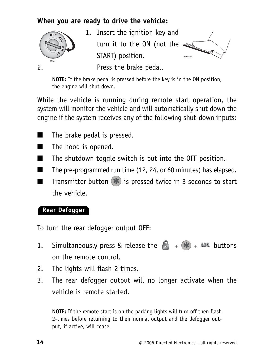### **When you are ready to drive the vehicle:**



1. Insert the ignition key and turn it to the ON (not the START) position.



2. Press the brake pedal.

**NOTE:** If the brake pedal is pressed before the key is in the ON position, the engine will shut down.

While the vehicle is running during remote start operation, the system will monitor the vehicle and will automatically shut down the engine if the system receives any of the following shut-down inputs:

- The brake pedal is pressed.
- The hood is opened.
- The shutdown toggle switch is put into the OFF position.
- The pre-programmed run time (12, 24, or 60 minutes) has elapsed.
- Transmitter button  $\blacktriangleright$  is pressed twice in 3 seconds to start the vehicle.

### **Rear Defogger**

To turn the rear defogger output OFF:

- 1. Simultaneously press & release the  $\begin{array}{cc} \hline \bullet & + \end{array}$  + AUX buttons on the remote control.
- 2. The lights will flash 2 times.
- 3. The rear defogger output will no longer activate when the vehicle is remote started.

**NOTE:** If the remote start is on the parking lights will turn off then flash 2-times before returning to their normal output and the defogger output, if active, will cease.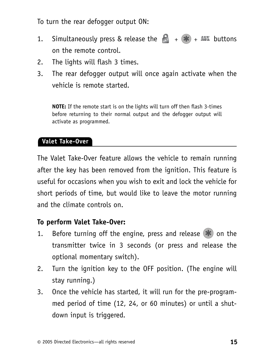To turn the rear defogger output ON:

- 1. Simultaneously press & release the  $\begin{bmatrix} 1 \\ 1 \end{bmatrix}$  +  $(\mathbf{H})$  + AUX buttons on the remote control.
- 2. The lights will flash 3 times.
- 3. The rear defogger output will once again activate when the vehicle is remote started.

**NOTE:** If the remote start is on the lights will turn off then flash 3-times before returning to their normal output and the defogger output will activate as programmed.

### **Valet Take-Over**

The Valet Take-Over feature allows the vehicle to remain running after the key has been removed from the ignition. This feature is useful for occasions when you wish to exit and lock the vehicle for short periods of time, but would like to leave the motor running and the climate controls on.

### **To perform Valet Take-Over:**

- 1. Before turning off the engine, press and release  $\left( \mathbf{\#} \right)$  on the transmitter twice in 3 seconds (or press and release the optional momentary switch).
- 2. Turn the ignition key to the OFF position. (The engine will stay running.)
- 3. Once the vehicle has started, it will run for the pre-programmed period of time (12, 24, or 60 minutes) or until a shutdown input is triggered.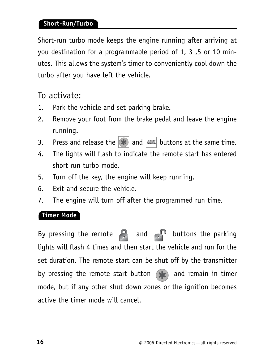### **Short-Run/Turbo**

Short-run turbo mode keeps the engine running after arriving at you destination for a programmable period of 1, 3 ,5 or 10 minutes. This allows the system's timer to conveniently cool down the turbo after you have left the vehicle.

### To activate:

- 1. Park the vehicle and set parking brake.
- 2. Remove your foot from the brake pedal and leave the engine running.
- 3. Press and release the  $|\mathbf{\ast}|$  and  $|\texttt{AUX}|$  buttons at the same time.
- 4. The lights will flash to indicate the remote start has entered short run turbo mode.
- 5. Turn off the key, the engine will keep running.
- 6. Exit and secure the vehicle.
- 7. The engine will turn off after the programmed run time.

### **Timer Mode**

By pressing the remote  $\bigcap$  and  $\bigcap$  buttons the parking lights will flash 4 times and then start the vehicle and run for the set duration. The remote start can be shut off by the transmitter by pressing the remote start button  $\left( \mathbf{F} \right)$  and remain in timer mode, but if any other shut down zones or the ignition becomes active the timer mode will cancel.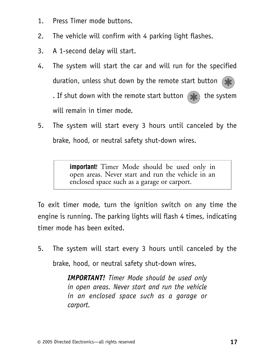- 1. Press Timer mode buttons.
- 2. The vehicle will confirm with 4 parking light flashes.
- 3. A 1-second delay will start.
- 4. The system will start the car and will run for the specified duration, unless shut down by the remote start button  $\mathbf{R}$ . If shut down with the remote start button  $\left( \mathbf{F} \right)$  the system will remain in timer mode.
- 5. The system will start every 3 hours until canceled by the brake, hood, or neutral safety shut-down wires.

**important**! Timer Mode should be used only in open areas. Never start and run the vehicle in an enclosed space such as a garage or carport.

To exit timer mode, turn the ignition switch on any time the engine is running. The parking lights will flash 4 times, indicating timer mode has been exited.

5. The system will start every 3 hours until canceled by the brake, hood, or neutral safety shut-down wires.

> *IMPORTANT! Timer Mode should be used only in open areas. Never start and run the vehicle in an enclosed space such as a garage or carport.*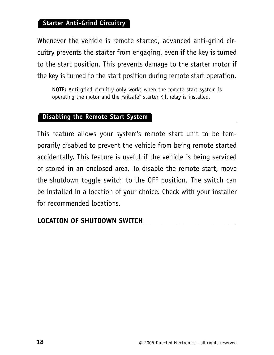### **Starter Anti-Grind Circuitry**

Whenever the vehicle is remote started, advanced anti-grind circuitry prevents the starter from engaging, even if the key is turned to the start position. This prevents damage to the starter motor if the key is turned to the start position during remote start operation.

**NOTE:** Anti-grind circuitry only works when the remote start system is operating the motor and the Failsafe® Starter Kill relay is installed.

### **Disabling the Remote Start System**

This feature allows your system's remote start unit to be temporarily disabled to prevent the vehicle from being remote started accidentally. This feature is useful if the vehicle is being serviced or stored in an enclosed area. To disable the remote start, move the shutdown toggle switch to the OFF position. The switch can be installed in a location of your choice. Check with your installer for recommended locations.

### **LOCATION OF SHUTDOWN SWITCH**\_\_\_\_\_\_\_\_\_\_\_\_\_\_\_\_\_\_\_\_\_\_\_\_\_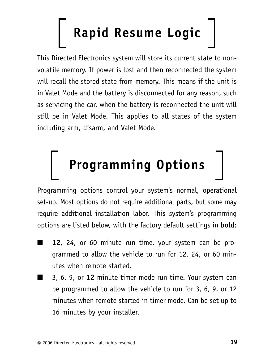# **Rapid Resume Logic**

This Directed Electronics system will store its current state to nonvolatile memory. If power is lost and then reconnected the system will recall the stored state from memory. This means if the unit is in Valet Mode and the battery is disconnected for any reason, such as servicing the car, when the battery is reconnected the unit will still be in Valet Mode. This applies to all states of the system including arm, disarm, and Valet Mode.

# **Programming Options**

Programming options control your system's normal, operational set-up. Most options do not require additional parts, but some may require additional installation labor. This system's programming options are listed below, with the factory default settings in **bold**:

- 12, 24, or 60 minute run time. your system can be programmed to allow the vehicle to run for 12, 24, or 60 minutes when remote started.
- 3, 6, 9, or 12 minute timer mode run time. Your system can be programmed to allow the vehicle to run for 3, 6, 9, or 12 minutes when remote started in timer mode. Can be set up to 16 minutes by your installer.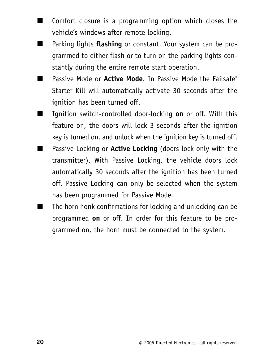- Comfort closure is a programming option which closes the vehicle's windows after remote locking.
- Parking lights **flashing** or constant. Your system can be programmed to either flash or to turn on the parking lights constantly during the entire remote start operation.
- Passive Mode or **Active Mode**. In Passive Mode the Failsafe<sup>®</sup> Starter Kill will automatically activate 30 seconds after the ignition has been turned off.
- Ignition switch-controlled door-locking **on** or off. With this feature on, the doors will lock 3 seconds after the ignition key is turned on, and unlock when the ignition key is turned off.
- Passive Locking or **Active Locking** (doors lock only with the transmitter). With Passive Locking, the vehicle doors lock automatically 30 seconds after the ignition has been turned off. Passive Locking can only be selected when the system has been programmed for Passive Mode.
- The horn honk confirmations for locking and unlocking can be programmed **on** or off. In order for this feature to be programmed on, the horn must be connected to the system.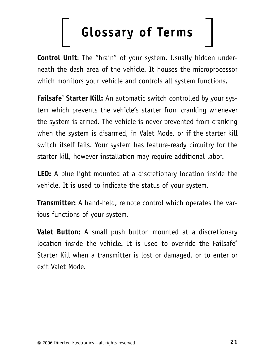# **Glossary of Terms**

**Control Unit**: The "brain" of your system. Usually hidden underneath the dash area of the vehicle. It houses the microprocessor which monitors your vehicle and controls all system functions.

**Failsafe® Starter Kill:** An automatic switch controlled by your system which prevents the vehicle's starter from cranking whenever the system is armed. The vehicle is never prevented from cranking when the system is disarmed, in Valet Mode, or if the starter kill switch itself fails. Your system has feature-ready circuitry for the starter kill, however installation may require additional labor.

**LED:** A blue light mounted at a discretionary location inside the vehicle. It is used to indicate the status of your system.

**Transmitter:** A hand-held, remote control which operates the various functions of your system.

**Valet Button:** A small push button mounted at a discretionary location inside the vehicle. It is used to override the Failsafe® Starter Kill when a transmitter is lost or damaged, or to enter or exit Valet Mode.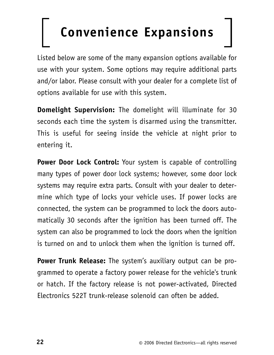# **Convenience Expansions**

Listed below are some of the many expansion options available for use with your system. Some options may require additional parts and/or labor. Please consult with your dealer for a complete list of options available for use with this system.

**Domelight Supervision:** The domelight will illuminate for 30 seconds each time the system is disarmed using the transmitter. This is useful for seeing inside the vehicle at night prior to entering it.

**Power Door Lock Control:** Your system is capable of controlling many types of power door lock systems; however, some door lock systems may require extra parts. Consult with your dealer to determine which type of locks your vehicle uses. If power locks are connected, the system can be programmed to lock the doors automatically 30 seconds after the ignition has been turned off. The system can also be programmed to lock the doors when the ignition is turned on and to unlock them when the ignition is turned off.

**Power Trunk Release:** The system's auxiliary output can be programmed to operate a factory power release for the vehicle's trunk or hatch. If the factory release is not power-activated, Directed Electronics 522T trunk-release solenoid can often be added.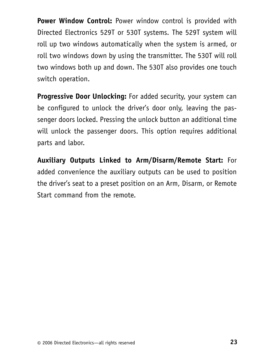**Power Window Control:** Power window control is provided with Directed Electronics 529T or 530T systems. The 529T system will roll up two windows automatically when the system is armed, or roll two windows down by using the transmitter. The 530T will roll two windows both up and down. The 530T also provides one touch switch operation.

**Progressive Door Unlocking:** For added security, your system can be configured to unlock the driver's door only, leaving the passenger doors locked. Pressing the unlock button an additional time will unlock the passenger doors. This option requires additional parts and labor.

**Auxiliary Outputs Linked to Arm/Disarm/Remote Start:** For added convenience the auxiliary outputs can be used to position the driver's seat to a preset position on an Arm, Disarm, or Remote Start command from the remote.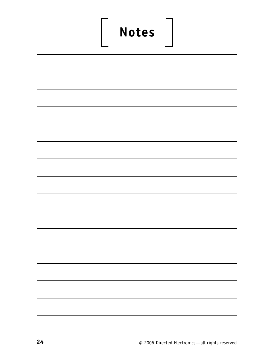# **Notes**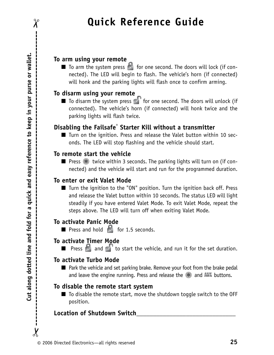## **Quick Reference Guide**

### **To arm using your remote**

 $\blacksquare$  To arm the system press  $\blacksquare$  for one second. The doors will lock (if connected). The LED will begin to flash. The vehicle's horn (if connected) will honk and the parking lights will flash once to confirm arming.

### **To disarm using your remote**

 $\blacksquare$  To disarm the system press  $\blacksquare$  for one second. The doors will unlock (if connected). The vehicle's horn (if connected) will honk twice and the parking lights will flash twice.

### **Disabling the Failsafe**® **Starter Kill without a transmitter**

■ Turn on the ignition. Press and release the Valet button within 10 seconds. The LED will stop flashing and the vehicle should start.

### **To remote start the vehicle**

■ Press <sup>\*</sup> twice within 3 seconds. The parking lights will turn on (if connected) and the vehicle will start and run for the programmed duration.

### **To enter or exit Valet Mode**

■ Turn the ignition to the "ON" position. Turn the ignition back off. Press and release the Valet button within 10 seconds. The status LED will light steadily if you have entered Valet Mode. To exit Valet Mode, repeat the steps above. The LED will turn off when exiting Valet Mode.

### **To activate Panic Mode**

 $\blacksquare$  Press and hold  $\blacksquare$  for 1.5 seconds.

### **To activate Timer Mode**

■ Press and to start the vehicle, and run it for the set duration.

### **To activate Turbo Mode**

■ Park the vehicle and set parking brake. Remove your foot from the brake pedal and leave the engine running. Press and release the  $\ast$  and AUX buttons.

### **To disable the remote start system**

■ To disable the remote start, move the shutdown toggle switch to the OFF position.

### **Location of Shutdown Switch\_\_\_\_\_\_\_\_\_\_\_\_\_\_\_\_\_\_\_\_\_\_\_\_\_\_\_\_\_\_**

 $\chi$ 

 $\chi$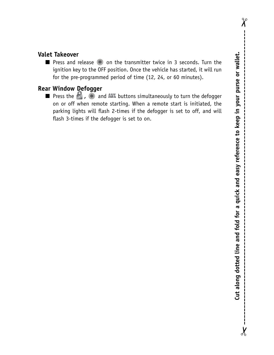$\chi$ 

 $\chi$ 

### **Valet Takeover**

**■** Press and release  $\bullet\bullet$  on the transmitter twice in 3 seconds. Turn the ignition key to the OFF position. Once the vehicle has started, it will run for the pre-programmed period of time (12, 24, or 60 minutes).

### **Rear Window Defogger**

**■** Press the  $\bullet$  ,  $\bullet$  and AUX buttons simultaneously to turn the defogger on or off when remote starting. When a remote start is initiated, the parking lights will flash 2-times if the defogger is set to off, and will flash 3-times if the defogger is set to on.